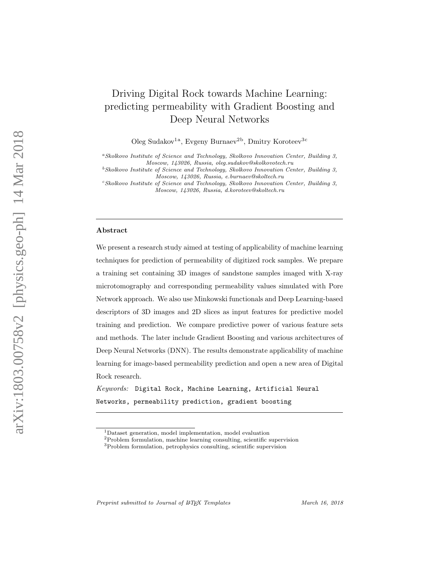# Driving Digital Rock towards Machine Learning: predicting permeability with Gradient Boosting and Deep Neural Networks

Oleg Sudakov<sup>1a</sup>, Evgeny Burnaev<sup>2b</sup>, Dmitry Koroteev<sup>3c</sup>

<sup>a</sup>Skolkovo Institute of Science and Technology, Skolkovo Innovation Center, Building 3, Moscow, 143026, Russia, oleg.sudakov@skolkovotech.ru

 $c$ Skolkovo Institute of Science and Technology, Skolkovo Innovation Center, Building 3, Moscow, 143026, Russia, d.koroteev@skoltech.ru

#### Abstract

We present a research study aimed at testing of applicability of machine learning techniques for prediction of permeability of digitized rock samples. We prepare a training set containing 3D images of sandstone samples imaged with X-ray microtomography and corresponding permeability values simulated with Pore Network approach. We also use Minkowski functionals and Deep Learning-based descriptors of 3D images and 2D slices as input features for predictive model training and prediction. We compare predictive power of various feature sets and methods. The later include Gradient Boosting and various architectures of Deep Neural Networks (DNN). The results demonstrate applicability of machine learning for image-based permeability prediction and open a new area of Digital Rock research.

 $Keywords:$  Digital Rock, Machine Learning, Artificial Neural Networks, permeability prediction, gradient boosting

 $^{b}$ Skolkovo Institute of Science and Technology, Skolkovo Innovation Center, Building 3, Moscow, 143026, Russia, e.burnaev@skoltech.ru

<sup>1</sup>Dataset generation, model implementation, model evaluation

<sup>2</sup>Problem formulation, machine learning consulting, scientific supervision

 $^3\mathrm{Problem}$  formulation, petrophysics consulting, scientific supervision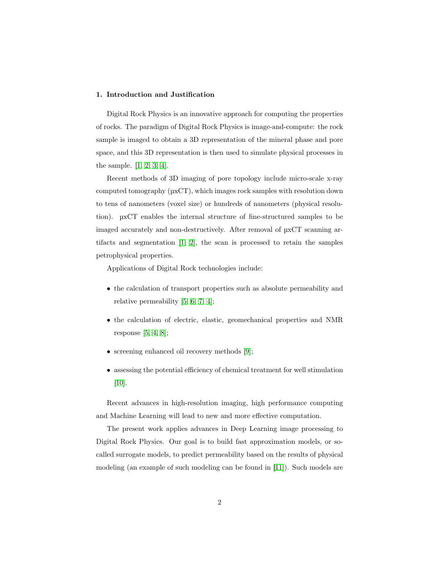## 1. Introduction and Justification

Digital Rock Physics is an innovative approach for computing the properties of rocks. The paradigm of Digital Rock Physics is image-and-compute: the rock sample is imaged to obtain a 3D representation of the mineral phase and pore space, and this 3D representation is then used to simulate physical processes in the sample. [\[1,](#page-17-0) [2,](#page-18-0) [3,](#page-18-1) [4\]](#page-18-2).

Recent methods of 3D imaging of pore topology include micro-scale x-ray computed tomography (µxCT), which images rock samples with resolution down to tens of nanometers (voxel size) or hundreds of nanometers (physical resolution). µxCT enables the internal structure of fine-structured samples to be imaged accurately and non-destructively. After removal of µxCT scanning artifacts and segmentation  $[1, 2]$  $[1, 2]$ , the scan is processed to retain the samples petrophysical properties.

Applications of Digital Rock technologies include:

- the calculation of transport properties such as absolute permeability and relative permeability [\[5,](#page-18-3) [6,](#page-18-4) [7,](#page-18-5) [4\]](#page-18-2);
- the calculation of electric, elastic, geomechanical properties and NMR response  $[5, 4, 8]$  $[5, 4, 8]$  $[5, 4, 8]$ ;
- screening enhanced oil recovery methods [\[9\]](#page-18-7);
- assessing the potential efficiency of chemical treatment for well stimulation [\[10\]](#page-19-0).

Recent advances in high-resolution imaging, high performance computing and Machine Learning will lead to new and more effective computation.

The present work applies advances in Deep Learning image processing to Digital Rock Physics. Our goal is to build fast approximation models, or socalled surrogate models, to predict permeability based on the results of physical modeling (an example of such modeling can be found in [\[11\]](#page-19-1)). Such models are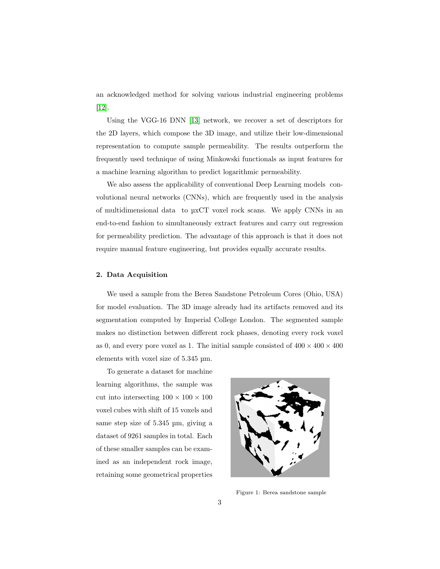an acknowledged method for solving various industrial engineering problems [\[12\]](#page-19-2).

Using the VGG-16 DNN [\[13\]](#page-19-3) network, we recover a set of descriptors for the 2D layers, which compose the 3D image, and utilize their low-dimensional representation to compute sample permeability. The results outperform the frequently used technique of using Minkowski functionals as input features for a machine learning algorithm to predict logarithmic permeability.

We also assess the applicability of conventional Deep Learning models convolutional neural networks (CNNs), which are frequently used in the analysis of multidimensional data to µxCT voxel rock scans. We apply CNNs in an end-to-end fashion to simultaneously extract features and carry out regression for permeability prediction. The advantage of this approach is that it does not require manual feature engineering, but provides equally accurate results.

#### 2. Data Acquisition

We used a sample from the Berea Sandstone Petroleum Cores (Ohio, USA) for model evaluation. The 3D image already had its artifacts removed and its segmentation computed by Imperial College London. The segmented sample makes no distinction between different rock phases, denoting every rock voxel as 0, and every pore voxel as 1. The initial sample consisted of  $400 \times 400 \times 400$ elements with voxel size of 5.345 µm.

To generate a dataset for machine learning algorithms, the sample was cut into intersecting  $100 \times 100 \times 100$ voxel cubes with shift of 15 voxels and same step size of 5.345 µm, giving a dataset of 9261 samples in total. Each of these smaller samples can be examined as an independent rock image, retaining some geometrical properties



Figure 1: Berea sandstone sample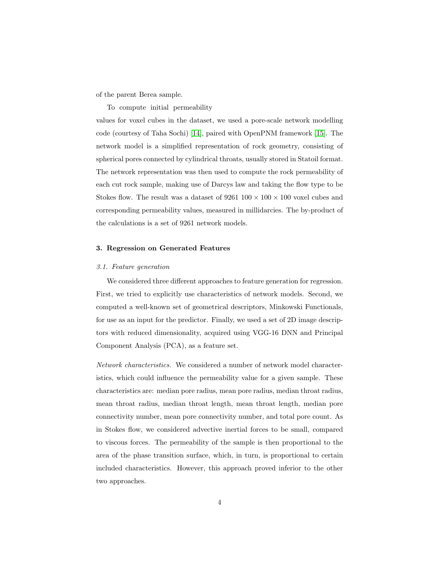of the parent Berea sample.

To compute initial permeability

values for voxel cubes in the dataset, we used a pore-scale network modelling code (courtesy of Taha Sochi) [\[14\]](#page-19-4), paired with OpenPNM framework [\[15\]](#page-19-5). The network model is a simplified representation of rock geometry, consisting of spherical pores connected by cylindrical throats, usually stored in Statoil format. The network representation was then used to compute the rock permeability of each cut rock sample, making use of Darcys law and taking the flow type to be Stokes flow. The result was a dataset of  $9261\ 100 \times 100 \times 100$  voxel cubes and corresponding permeability values, measured in millidarcies. The by-product of the calculations is a set of 9261 network models.

#### 3. Regression on Generated Features

#### 3.1. Feature generation

We considered three different approaches to feature generation for regression. First, we tried to explicitly use characteristics of network models. Second, we computed a well-known set of geometrical descriptors, Minkowski Functionals, for use as an input for the predictor. Finally, we used a set of 2D image descriptors with reduced dimensionality, acquired using VGG-16 DNN and Principal Component Analysis (PCA), as a feature set.

Network characteristics. We considered a number of network model characteristics, which could influence the permeability value for a given sample. These characteristics are: median pore radius, mean pore radius, median throat radius, mean throat radius, median throat length, mean throat length, median pore connectivity number, mean pore connectivity number, and total pore count. As in Stokes flow, we considered advective inertial forces to be small, compared to viscous forces. The permeability of the sample is then proportional to the area of the phase transition surface, which, in turn, is proportional to certain included characteristics. However, this approach proved inferior to the other two approaches.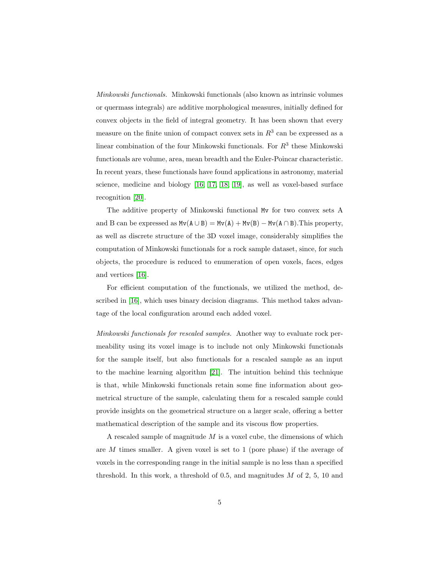Minkowski functionals. Minkowski functionals (also known as intrinsic volumes or quermass integrals) are additive morphological measures, initially defined for convex objects in the field of integral geometry. It has been shown that every measure on the finite union of compact convex sets in  $R<sup>3</sup>$  can be expressed as a linear combination of the four Minkowski functionals. For  $R^3$  these Minkowski functionals are volume, area, mean breadth and the Euler-Poincar characteristic. In recent years, these functionals have found applications in astronomy, material science, medicine and biology [\[16,](#page-19-6) [17,](#page-19-7) [18,](#page-19-8) [19\]](#page-19-9), as well as voxel-based surface recognition [\[20\]](#page-20-0).

The additive property of Minkowski functional Mv for two convex sets A and B can be expressed as  $Mv(A \cup B) = Mv(A) + Mv(B) - Mv(A \cap B)$ . This property, as well as discrete structure of the 3D voxel image, considerably simplifies the computation of Minkowski functionals for a rock sample dataset, since, for such objects, the procedure is reduced to enumeration of open voxels, faces, edges and vertices [\[16\]](#page-19-6).

For efficient computation of the functionals, we utilized the method, described in [\[16\]](#page-19-6), which uses binary decision diagrams. This method takes advantage of the local configuration around each added voxel.

Minkowski functionals for rescaled samples. Another way to evaluate rock permeability using its voxel image is to include not only Minkowski functionals for the sample itself, but also functionals for a rescaled sample as an input to the machine learning algorithm [\[21\]](#page-20-1). The intuition behind this technique is that, while Minkowski functionals retain some fine information about geometrical structure of the sample, calculating them for a rescaled sample could provide insights on the geometrical structure on a larger scale, offering a better mathematical description of the sample and its viscous flow properties.

A rescaled sample of magnitude  $M$  is a voxel cube, the dimensions of which are M times smaller. A given voxel is set to 1 (pore phase) if the average of voxels in the corresponding range in the initial sample is no less than a specified threshold. In this work, a threshold of  $0.5$ , and magnitudes  $M$  of  $2, 5, 10$  and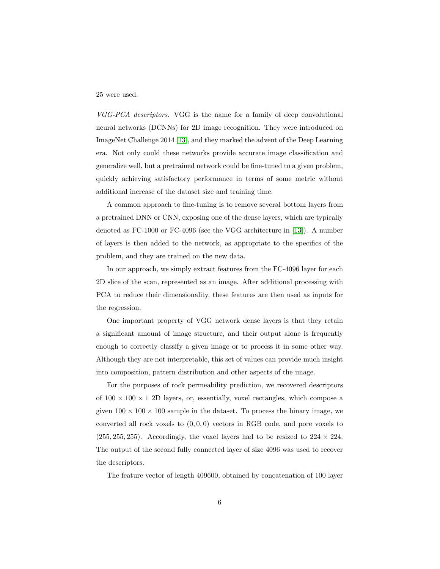#### 25 were used.

VGG-PCA descriptors. VGG is the name for a family of deep convolutional neural networks (DCNNs) for 2D image recognition. They were introduced on ImageNet Challenge 2014 [\[13\]](#page-19-3), and they marked the advent of the Deep Learning era. Not only could these networks provide accurate image classification and generalize well, but a pretrained network could be fine-tuned to a given problem, quickly achieving satisfactory performance in terms of some metric without additional increase of the dataset size and training time.

A common approach to fine-tuning is to remove several bottom layers from a pretrained DNN or CNN, exposing one of the dense layers, which are typically denoted as FC-1000 or FC-4096 (see the VGG architecture in [\[13\]](#page-19-3)). A number of layers is then added to the network, as appropriate to the specifics of the problem, and they are trained on the new data.

In our approach, we simply extract features from the FC-4096 layer for each 2D slice of the scan, represented as an image. After additional processing with PCA to reduce their dimensionality, these features are then used as inputs for the regression.

One important property of VGG network dense layers is that they retain a significant amount of image structure, and their output alone is frequently enough to correctly classify a given image or to process it in some other way. Although they are not interpretable, this set of values can provide much insight into composition, pattern distribution and other aspects of the image.

For the purposes of rock permeability prediction, we recovered descriptors of  $100 \times 100 \times 1$  2D layers, or, essentially, voxel rectangles, which compose a given  $100 \times 100 \times 100$  sample in the dataset. To process the binary image, we converted all rock voxels to  $(0, 0, 0)$  vectors in RGB code, and pore voxels to  $(255, 255, 255)$ . Accordingly, the voxel layers had to be resized to  $224 \times 224$ . The output of the second fully connected layer of size 4096 was used to recover the descriptors.

The feature vector of length 409600, obtained by concatenation of 100 layer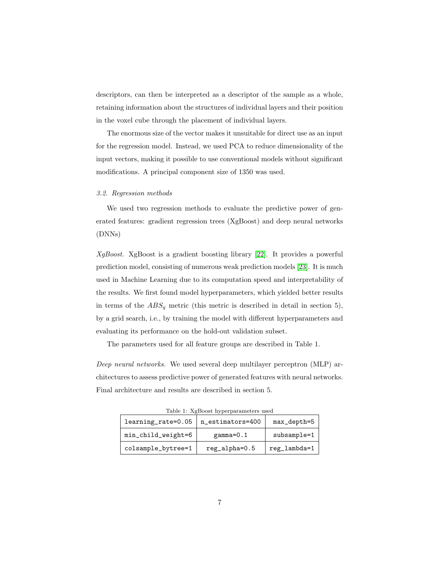descriptors, can then be interpreted as a descriptor of the sample as a whole, retaining information about the structures of individual layers and their position in the voxel cube through the placement of individual layers.

The enormous size of the vector makes it unsuitable for direct use as an input for the regression model. Instead, we used PCA to reduce dimensionality of the input vectors, making it possible to use conventional models without significant modifications. A principal component size of 1350 was used.

## 3.2. Regression methods

We used two regression methods to evaluate the predictive power of generated features: gradient regression trees (XgBoost) and deep neural networks (DNNs)

XgBoost. XgBoost is a gradient boosting library [\[22\]](#page-20-2). It provides a powerful prediction model, consisting of numerous weak prediction models [\[23\]](#page-20-3). It is much used in Machine Learning due to its computation speed and interpretability of the results. We first found model hyperparameters, which yielded better results in terms of the  $ABS_q$  metric (this metric is described in detail in section 5), by a grid search, i.e., by training the model with different hyperparameters and evaluating its performance on the hold-out validation subset.

The parameters used for all feature groups are described in Table 1.

Deep neural networks. We used several deep multilayer perceptron (MLP) architectures to assess predictive power of generated features with neural networks. Final architecture and results are described in section 5.

| learning_rate=0.05 | n_estimators=400 | max_depth=5  |
|--------------------|------------------|--------------|
| min_child_weight=6 | $gamma=0.1$      | subsample=1  |
| colsample_bytree=1 | reg_alpha=0.5    | reg_lambda=1 |

Table 1: XgBoost hyperparameters used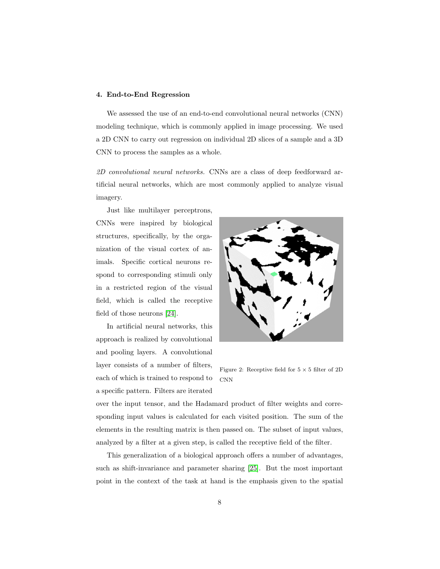#### 4. End-to-End Regression

We assessed the use of an end-to-end convolutional neural networks (CNN) modeling technique, which is commonly applied in image processing. We used a 2D CNN to carry out regression on individual 2D slices of a sample and a 3D CNN to process the samples as a whole.

2D convolutional neural networks. CNNs are a class of deep feedforward artificial neural networks, which are most commonly applied to analyze visual imagery.

Just like multilayer perceptrons, CNNs were inspired by biological structures, specifically, by the organization of the visual cortex of animals. Specific cortical neurons respond to corresponding stimuli only in a restricted region of the visual field, which is called the receptive field of those neurons [\[24\]](#page-20-4).

In artificial neural networks, this approach is realized by convolutional and pooling layers. A convolutional layer consists of a number of filters, each of which is trained to respond to a specific pattern. Filters are iterated



Figure 2: Receptive field for  $5 \times 5$  filter of 2D CNN

over the input tensor, and the Hadamard product of filter weights and corresponding input values is calculated for each visited position. The sum of the elements in the resulting matrix is then passed on. The subset of input values, analyzed by a filter at a given step, is called the receptive field of the filter.

This generalization of a biological approach offers a number of advantages, such as shift-invariance and parameter sharing [\[25\]](#page-20-5). But the most important point in the context of the task at hand is the emphasis given to the spatial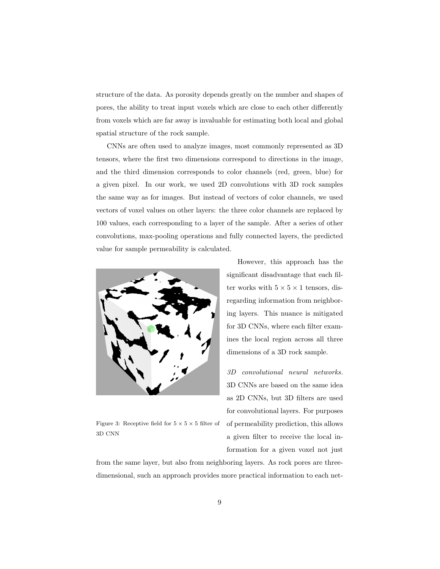structure of the data. As porosity depends greatly on the number and shapes of pores, the ability to treat input voxels which are close to each other differently from voxels which are far away is invaluable for estimating both local and global spatial structure of the rock sample.

CNNs are often used to analyze images, most commonly represented as 3D tensors, where the first two dimensions correspond to directions in the image, and the third dimension corresponds to color channels (red, green, blue) for a given pixel. In our work, we used 2D convolutions with 3D rock samples the same way as for images. But instead of vectors of color channels, we used vectors of voxel values on other layers: the three color channels are replaced by 100 values, each corresponding to a layer of the sample. After a series of other convolutions, max-pooling operations and fully connected layers, the predicted value for sample permeability is calculated.



Figure 3: Receptive field for  $5 \times 5 \times 5$  filter of 3D CNN

However, this approach has the significant disadvantage that each filter works with  $5 \times 5 \times 1$  tensors, disregarding information from neighboring layers. This nuance is mitigated for 3D CNNs, where each filter examines the local region across all three dimensions of a 3D rock sample.

3D convolutional neural networks. 3D CNNs are based on the same idea as 2D CNNs, but 3D filters are used for convolutional layers. For purposes of permeability prediction, this allows a given filter to receive the local information for a given voxel not just

from the same layer, but also from neighboring layers. As rock pores are threedimensional, such an approach provides more practical information to each net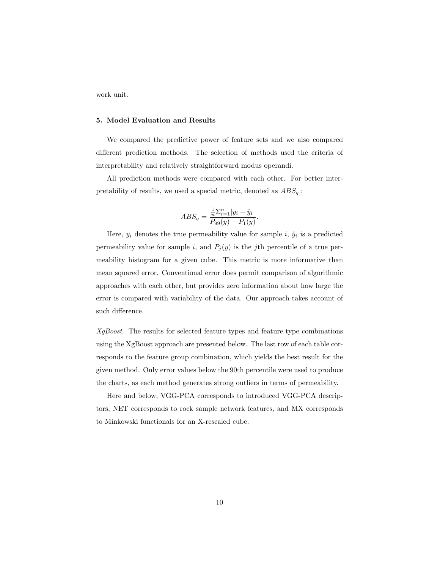work unit.

# 5. Model Evaluation and Results

We compared the predictive power of feature sets and we also compared different prediction methods. The selection of methods used the criteria of interpretability and relatively straightforward modus operandi.

All prediction methods were compared with each other. For better interpretability of results, we used a special metric, denoted as  $ABS_q$ :

$$
ABS_{q} = \frac{\frac{1}{n}\sum_{i=1}^{n}|y_{i} - \hat{y}_{i}|}{P_{99}(y) - P_{1}(y)}.
$$

Here,  $y_i$  denotes the true permeability value for sample i,  $\hat{y}_i$  is a predicted permeability value for sample i, and  $P_j(y)$  is the jth percentile of a true permeability histogram for a given cube. This metric is more informative than mean squared error. Conventional error does permit comparison of algorithmic approaches with each other, but provides zero information about how large the error is compared with variability of the data. Our approach takes account of such difference.

XgBoost. The results for selected feature types and feature type combinations using the XgBoost approach are presented below. The last row of each table corresponds to the feature group combination, which yields the best result for the given method. Only error values below the 90th percentile were used to produce the charts, as each method generates strong outliers in terms of permeability.

Here and below, VGG-PCA corresponds to introduced VGG-PCA descriptors, NET corresponds to rock sample network features, and MX corresponds to Minkowski functionals for an X-rescaled cube.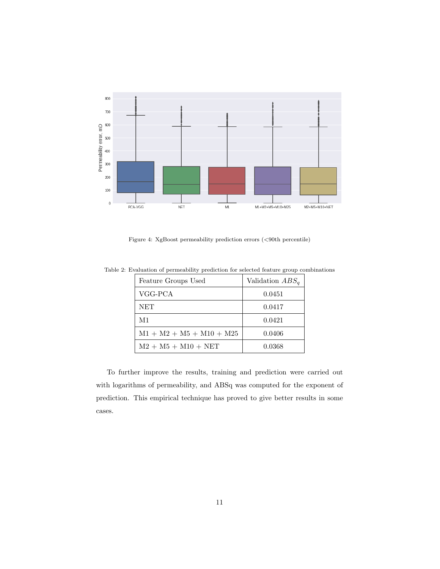

Figure 4: XgBoost permeability prediction errors (<90th percentile)

| Feature Groups Used        | Validation $ABS_q$ |
|----------------------------|--------------------|
| VGG-PCA                    | 0.0451             |
| NET                        | 0.0417             |
| M1                         | 0.0421             |
| $M1 + M2 + M5 + M10 + M25$ | 0.0406             |
| $M2 + M5 + M10 + NET$      | 0.0368             |

Table 2: Evaluation of permeability prediction for selected feature group combinations

To further improve the results, training and prediction were carried out with logarithms of permeability, and ABSq was computed for the exponent of prediction. This empirical technique has proved to give better results in some cases.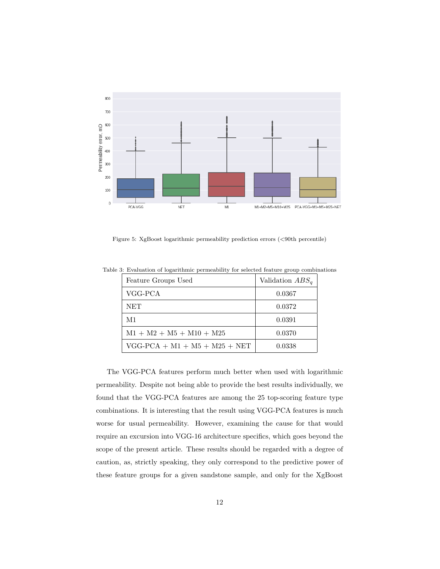

Figure 5: XgBoost logarithmic permeability prediction errors (<90th percentile)

|  |  | Table 3: Evaluation of logarithmic permeability for selected feature group combinations |  |  |  |
|--|--|-----------------------------------------------------------------------------------------|--|--|--|
|  |  |                                                                                         |  |  |  |

| Feature Groups Used             | Validation $ABS_q$ |
|---------------------------------|--------------------|
| VGG-PCA                         | 0.0367             |
| <b>NET</b>                      | 0.0372             |
| M1                              | 0.0391             |
| $M1 + M2 + M5 + M10 + M25$      | 0.0370             |
| $VGG-PCA + M1 + M5 + M25 + NET$ | 0.0338             |

The VGG-PCA features perform much better when used with logarithmic permeability. Despite not being able to provide the best results individually, we found that the VGG-PCA features are among the 25 top-scoring feature type combinations. It is interesting that the result using VGG-PCA features is much worse for usual permeability. However, examining the cause for that would require an excursion into VGG-16 architecture specifics, which goes beyond the scope of the present article. These results should be regarded with a degree of caution, as, strictly speaking, they only correspond to the predictive power of these feature groups for a given sandstone sample, and only for the XgBoost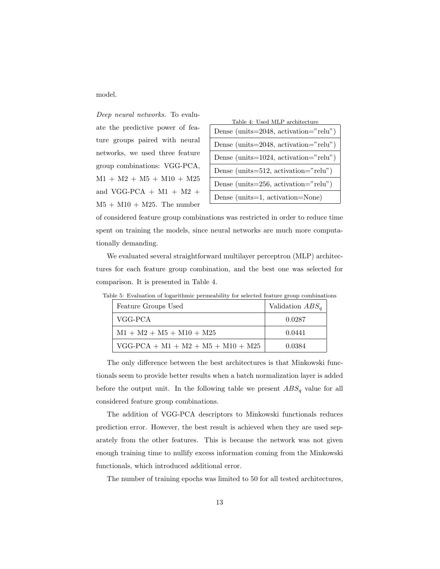model.

Deep neural networks. To evaluate the predictive power of feature groups paired with neural networks, we used three feature group combinations: VGG-PCA,  $M1 + M2 + M5 + M10 + M25$ and VGG-PCA  $+$  M1  $+$  M2  $+$  $M5 + M10 + M25$ . The number

| Table 4: Used MLP architecture            |
|-------------------------------------------|
| Dense (units= $2048$ , activation="relu") |
| Dense (units= $2048$ , activation="relu") |
| Dense (units= $1024$ , activation="relu") |
| Dense (units= $512$ , activation="relu")  |
| Dense (units= $256$ , activation="relu")  |
| Dense (units=1, activation=None)          |

of considered feature group combinations was restricted in order to reduce time spent on training the models, since neural networks are much more computationally demanding.

We evaluated several straightforward multilayer perceptron (MLP) architectures for each feature group combination, and the best one was selected for comparison. It is presented in Table 4.

| Feature Groups Used                  | Validation $ABS_a$ |
|--------------------------------------|--------------------|
| VGG-PCA                              | 0.0287             |
| $M1 + M2 + M5 + M10 + M25$           | 0.0441             |
| $VGG-PCA + M1 + M2 + M5 + M10 + M25$ | 0.0384             |

Table 5: Evaluation of logarithmic permeability for selected feature group combinations

The only difference between the best architectures is that Minkowski functionals seem to provide better results when a batch normalization layer is added before the output unit. In the following table we present  $ABS_q$  value for all considered feature group combinations.

The addition of VGG-PCA descriptors to Minkowski functionals reduces prediction error. However, the best result is achieved when they are used separately from the other features. This is because the network was not given enough training time to nullify excess information coming from the Minkowski functionals, which introduced additional error.

The number of training epochs was limited to 50 for all tested architectures,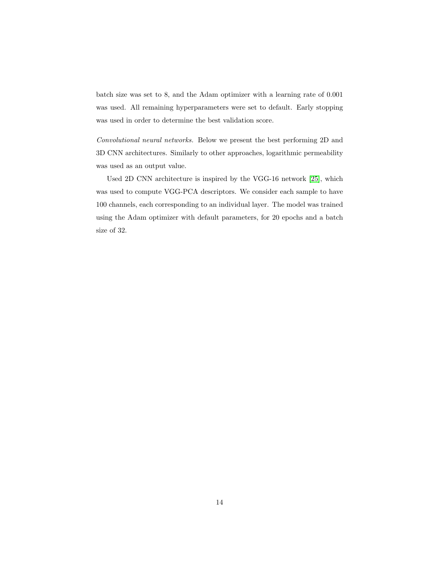batch size was set to 8, and the Adam optimizer with a learning rate of 0.001 was used. All remaining hyperparameters were set to default. Early stopping was used in order to determine the best validation score.

Convolutional neural networks. Below we present the best performing 2D and 3D CNN architectures. Similarly to other approaches, logarithmic permeability was used as an output value.

Used 2D CNN architecture is inspired by the VGG-16 network [\[25\]](#page-20-5), which was used to compute VGG-PCA descriptors. We consider each sample to have 100 channels, each corresponding to an individual layer. The model was trained using the Adam optimizer with default parameters, for 20 epochs and a batch size of 32.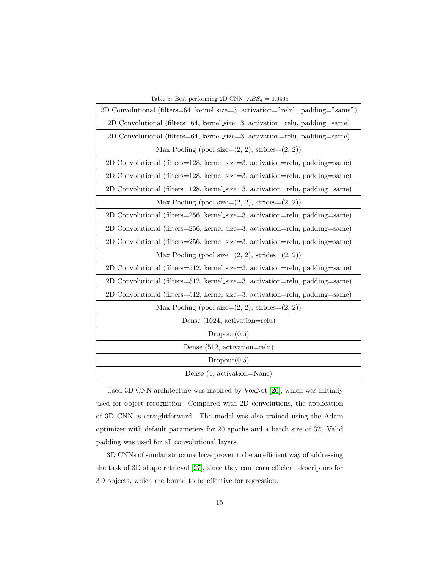| Table 6: Best performing 2D CNN, $ABS_q = 0.0406$                               |  |  |  |  |  |
|---------------------------------------------------------------------------------|--|--|--|--|--|
| 2D Convolutional (filters=64, kernel_size=3, activation="relu", padding="same") |  |  |  |  |  |
| 2D Convolutional (filters=64, kernel_size=3, activation=relu, padding=same)     |  |  |  |  |  |
| 2D Convolutional (filters=64, kernel_size=3, activation=relu, padding=same)     |  |  |  |  |  |
| Max Pooling (pool_size= $(2, 2)$ , strides= $(2, 2)$ )                          |  |  |  |  |  |
| 2D Convolutional (filters=128, kernel_size=3, activation=relu, padding=same)    |  |  |  |  |  |
| 2D Convolutional (filters=128, kernel_size=3, activation=relu, padding=same)    |  |  |  |  |  |
| 2D Convolutional (filters=128, kernel_size=3, activation=relu, padding=same)    |  |  |  |  |  |
| Max Pooling (pool_size= $(2, 2)$ , strides= $(2, 2)$ )                          |  |  |  |  |  |
| 2D Convolutional (filters=256, kernel_size=3, activation=relu, padding=same)    |  |  |  |  |  |
| 2D Convolutional (filters=256, kernel_size=3, activation=relu, padding=same)    |  |  |  |  |  |
| 2D Convolutional (filters=256, kernel_size=3, activation=relu, padding=same)    |  |  |  |  |  |
| Max Pooling (pool_size= $(2, 2)$ , strides= $(2, 2)$ )                          |  |  |  |  |  |
| 2D Convolutional (filters=512, kernel_size=3, activation=relu, padding=same)    |  |  |  |  |  |
| 2D Convolutional (filters=512, kernel_size=3, activation=relu, padding=same)    |  |  |  |  |  |
| 2D Convolutional (filters=512, kernel_size=3, activation=relu, padding=same)    |  |  |  |  |  |
| Max Pooling (pool_size= $(2, 2)$ , strides= $(2, 2)$ )                          |  |  |  |  |  |
| Dense $(1024, \text{ activation=relu})$                                         |  |  |  |  |  |
| Dropout(0.5)                                                                    |  |  |  |  |  |
| Dense $(512, \text{ activation=relu})$                                          |  |  |  |  |  |
| Dropout(0.5)                                                                    |  |  |  |  |  |
| Dense (1, activation=None)                                                      |  |  |  |  |  |

Used 3D CNN architecture was inspired by VoxNet [\[26\]](#page-20-6), which was initially used for object recognition. Compared with 2D convolutions, the application of 3D CNN is straightforward. The model was also trained using the Adam optimizer with default parameters for 20 epochs and a batch size of 32. Valid padding was used for all convolutional layers.

3D CNNs of similar structure have proven to be an efficient way of addressing the task of 3D shape retrieval [\[27\]](#page-20-7), since they can learn efficient descriptors for 3D objects, which are bound to be effective for regression.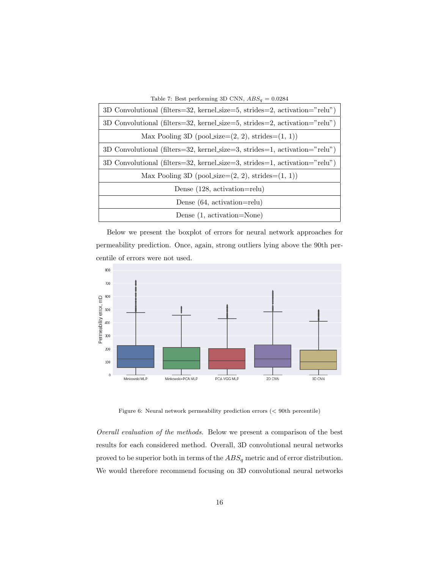| Table 7: Best performing 3D CNN, $ABS_a = 0.0284$                          |
|----------------------------------------------------------------------------|
| 3D Convolutional (filters=32, kernel_size=5, strides=2, activation="relu") |
| 3D Convolutional (filters=32, kernel_size=5, strides=2, activation="relu") |
| Max Pooling 3D (pool_size= $(2, 2)$ , strides= $(1, 1)$ )                  |
| 3D Convolutional (filters=32, kernel_size=3, strides=1, activation="relu") |
| 3D Convolutional (filters=32, kernel_size=3, strides=1, activation="relu") |
| Max Pooling 3D (pool_size= $(2, 2)$ , strides= $(1, 1)$ )                  |
| Dense $(128, \text{ activation=relu})$                                     |
| Dense $(64, activation=relu)$                                              |
| Dense (1, activation=None)                                                 |

Below we present the boxplot of errors for neural network approaches for permeability prediction. Once, again, strong outliers lying above the 90th percentile of errors were not used.



Figure 6: Neural network permeability prediction errors  $(<90{\rm th}$  percentile)

Overall evaluation of the methods. Below we present a comparison of the best results for each considered method. Overall, 3D convolutional neural networks proved to be superior both in terms of the  $ABS_q$  metric and of error distribution. We would therefore recommend focusing on 3D convolutional neural networks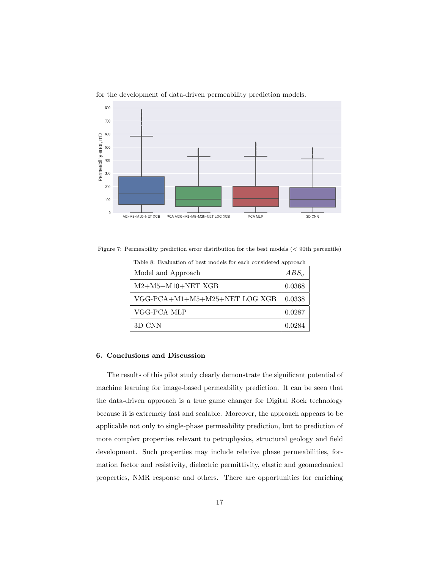

for the development of data-driven permeability prediction models.

Figure 7: Permeability prediction error distribution for the best models (< 90th percentile)

| Table 8: Evaluation of best models for each considered approach |  |  |  |
|-----------------------------------------------------------------|--|--|--|
|                                                                 |  |  |  |

| Model and Approach            | $ABS_a$ |
|-------------------------------|---------|
| $M2+M5+M10+NET XGB$           | 0.0368  |
| VGG-PCA+M1+M5+M25+NET LOG XGB | 0.0338  |
| VGG-PCA MLP                   | 0.0287  |
| 3D CNN                        | 0.0284  |

## 6. Conclusions and Discussion

The results of this pilot study clearly demonstrate the significant potential of machine learning for image-based permeability prediction. It can be seen that the data-driven approach is a true game changer for Digital Rock technology because it is extremely fast and scalable. Moreover, the approach appears to be applicable not only to single-phase permeability prediction, but to prediction of more complex properties relevant to petrophysics, structural geology and field development. Such properties may include relative phase permeabilities, formation factor and resistivity, dielectric permittivity, elastic and geomechanical properties, NMR response and others. There are opportunities for enriching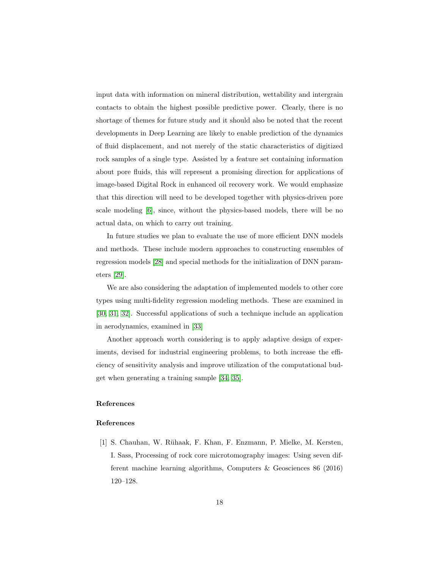input data with information on mineral distribution, wettability and intergrain contacts to obtain the highest possible predictive power. Clearly, there is no shortage of themes for future study and it should also be noted that the recent developments in Deep Learning are likely to enable prediction of the dynamics of fluid displacement, and not merely of the static characteristics of digitized rock samples of a single type. Assisted by a feature set containing information about pore fluids, this will represent a promising direction for applications of image-based Digital Rock in enhanced oil recovery work. We would emphasize that this direction will need to be developed together with physics-driven pore scale modeling [\[6\]](#page-18-4), since, without the physics-based models, there will be no actual data, on which to carry out training.

In future studies we plan to evaluate the use of more efficient DNN models and methods. These include modern approaches to constructing ensembles of regression models [\[28\]](#page-20-8) and special methods for the initialization of DNN parameters [\[29\]](#page-21-0).

We are also considering the adaptation of implemented models to other core types using multi-fidelity regression modeling methods. These are examined in [\[30,](#page-21-1) [31,](#page-21-2) [32\]](#page-21-3). Successful applications of such a technique include an application in aerodynamics, examined in [\[33\]](#page-21-4)

Another approach worth considering is to apply adaptive design of experiments, devised for industrial engineering problems, to both increase the efficiency of sensitivity analysis and improve utilization of the computational budget when generating a training sample [\[34,](#page-21-5) [35\]](#page-21-6).

# References

### References

<span id="page-17-0"></span>[1] S. Chauhan, W. R¨uhaak, F. Khan, F. Enzmann, P. Mielke, M. Kersten, I. Sass, Processing of rock core microtomography images: Using seven different machine learning algorithms, Computers & Geosciences 86 (2016) 120–128.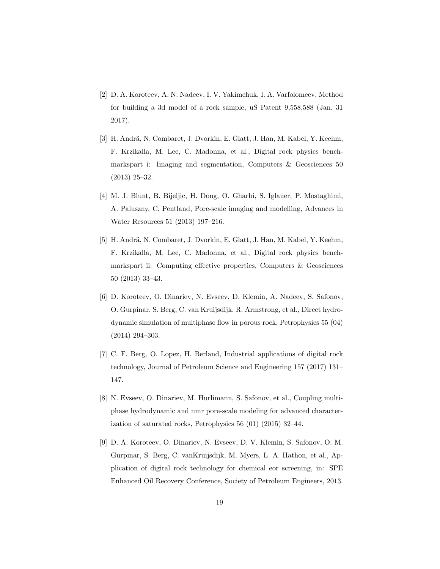- <span id="page-18-0"></span>[2] D. A. Koroteev, A. N. Nadeev, I. V. Yakimchuk, I. A. Varfolomeev, Method for building a 3d model of a rock sample, uS Patent 9,558,588 (Jan. 31 2017).
- <span id="page-18-1"></span>[3] H. Andrä, N. Combaret, J. Dvorkin, E. Glatt, J. Han, M. Kabel, Y. Keehm, F. Krzikalla, M. Lee, C. Madonna, et al., Digital rock physics benchmarkspart i: Imaging and segmentation, Computers & Geosciences 50 (2013) 25–32.
- <span id="page-18-2"></span>[4] M. J. Blunt, B. Bijeljic, H. Dong, O. Gharbi, S. Iglauer, P. Mostaghimi, A. Paluszny, C. Pentland, Pore-scale imaging and modelling, Advances in Water Resources 51 (2013) 197–216.
- <span id="page-18-3"></span>[5] H. Andrä, N. Combaret, J. Dvorkin, E. Glatt, J. Han, M. Kabel, Y. Keehm, F. Krzikalla, M. Lee, C. Madonna, et al., Digital rock physics benchmarkspart ii: Computing effective properties, Computers & Geosciences 50 (2013) 33–43.
- <span id="page-18-4"></span>[6] D. Koroteev, O. Dinariev, N. Evseev, D. Klemin, A. Nadeev, S. Safonov, O. Gurpinar, S. Berg, C. van Kruijsdijk, R. Armstrong, et al., Direct hydrodynamic simulation of multiphase flow in porous rock, Petrophysics 55 (04) (2014) 294–303.
- <span id="page-18-5"></span>[7] C. F. Berg, O. Lopez, H. Berland, Industrial applications of digital rock technology, Journal of Petroleum Science and Engineering 157 (2017) 131– 147.
- <span id="page-18-6"></span>[8] N. Evseev, O. Dinariev, M. Hurlimann, S. Safonov, et al., Coupling multiphase hydrodynamic and nmr pore-scale modeling for advanced characterization of saturated rocks, Petrophysics 56 (01) (2015) 32–44.
- <span id="page-18-7"></span>[9] D. A. Koroteev, O. Dinariev, N. Evseev, D. V. Klemin, S. Safonov, O. M. Gurpinar, S. Berg, C. vanKruijsdijk, M. Myers, L. A. Hathon, et al., Application of digital rock technology for chemical eor screening, in: SPE Enhanced Oil Recovery Conference, Society of Petroleum Engineers, 2013.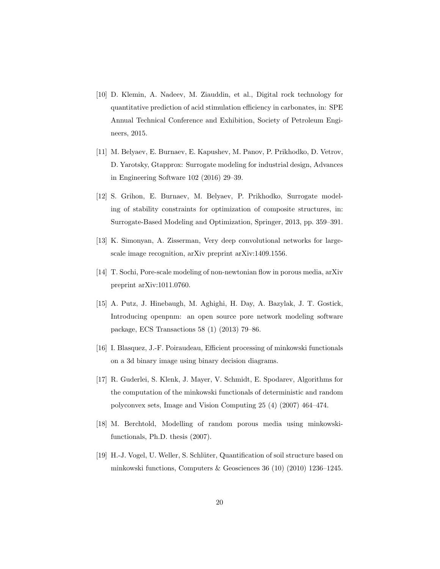- <span id="page-19-0"></span>[10] D. Klemin, A. Nadeev, M. Ziauddin, et al., Digital rock technology for quantitative prediction of acid stimulation efficiency in carbonates, in: SPE Annual Technical Conference and Exhibition, Society of Petroleum Engineers, 2015.
- <span id="page-19-1"></span>[11] M. Belyaev, E. Burnaev, E. Kapushev, M. Panov, P. Prikhodko, D. Vetrov, D. Yarotsky, Gtapprox: Surrogate modeling for industrial design, Advances in Engineering Software 102 (2016) 29–39.
- <span id="page-19-2"></span>[12] S. Grihon, E. Burnaev, M. Belyaev, P. Prikhodko, Surrogate modeling of stability constraints for optimization of composite structures, in: Surrogate-Based Modeling and Optimization, Springer, 2013, pp. 359–391.
- <span id="page-19-3"></span>[13] K. Simonyan, A. Zisserman, Very deep convolutional networks for largescale image recognition, arXiv preprint arXiv:1409.1556.
- <span id="page-19-4"></span>[14] T. Sochi, Pore-scale modeling of non-newtonian flow in porous media, arXiv preprint arXiv:1011.0760.
- <span id="page-19-5"></span>[15] A. Putz, J. Hinebaugh, M. Aghighi, H. Day, A. Bazylak, J. T. Gostick, Introducing openpnm: an open source pore network modeling software package, ECS Transactions 58 (1) (2013) 79–86.
- <span id="page-19-6"></span>[16] I. Blasquez, J.-F. Poiraudeau, Efficient processing of minkowski functionals on a 3d binary image using binary decision diagrams.
- <span id="page-19-7"></span>[17] R. Guderlei, S. Klenk, J. Mayer, V. Schmidt, E. Spodarev, Algorithms for the computation of the minkowski functionals of deterministic and random polyconvex sets, Image and Vision Computing 25 (4) (2007) 464–474.
- <span id="page-19-8"></span>[18] M. Berchtold, Modelling of random porous media using minkowskifunctionals, Ph.D. thesis (2007).
- <span id="page-19-9"></span>[19] H.-J. Vogel, U. Weller, S. Schl¨uter, Quantification of soil structure based on minkowski functions, Computers & Geosciences 36 (10) (2010) 1236–1245.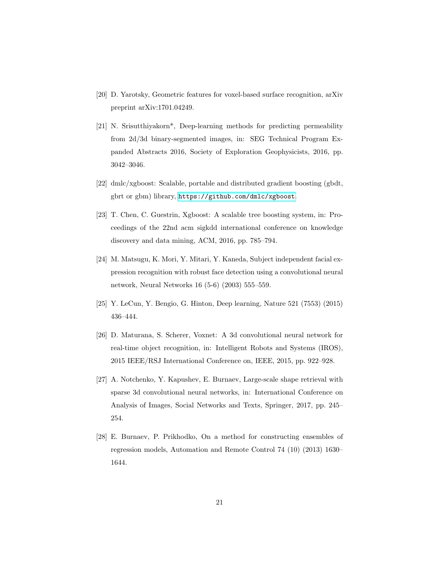- <span id="page-20-0"></span>[20] D. Yarotsky, Geometric features for voxel-based surface recognition, arXiv preprint arXiv:1701.04249.
- <span id="page-20-1"></span>[21] N. Srisutthiyakorn\*, Deep-learning methods for predicting permeability from 2d/3d binary-segmented images, in: SEG Technical Program Expanded Abstracts 2016, Society of Exploration Geophysicists, 2016, pp. 3042–3046.
- <span id="page-20-2"></span>[22] dmlc/xgboost: Scalable, portable and distributed gradient boosting (gbdt, gbrt or gbm) library, <https://github.com/dmlc/xgboost>.
- <span id="page-20-3"></span>[23] T. Chen, C. Guestrin, Xgboost: A scalable tree boosting system, in: Proceedings of the 22nd acm sigkdd international conference on knowledge discovery and data mining, ACM, 2016, pp. 785–794.
- <span id="page-20-4"></span>[24] M. Matsugu, K. Mori, Y. Mitari, Y. Kaneda, Subject independent facial expression recognition with robust face detection using a convolutional neural network, Neural Networks 16 (5-6) (2003) 555–559.
- <span id="page-20-5"></span>[25] Y. LeCun, Y. Bengio, G. Hinton, Deep learning, Nature 521 (7553) (2015) 436–444.
- <span id="page-20-6"></span>[26] D. Maturana, S. Scherer, Voxnet: A 3d convolutional neural network for real-time object recognition, in: Intelligent Robots and Systems (IROS), 2015 IEEE/RSJ International Conference on, IEEE, 2015, pp. 922–928.
- <span id="page-20-7"></span>[27] A. Notchenko, Y. Kapushev, E. Burnaev, Large-scale shape retrieval with sparse 3d convolutional neural networks, in: International Conference on Analysis of Images, Social Networks and Texts, Springer, 2017, pp. 245– 254.
- <span id="page-20-8"></span>[28] E. Burnaev, P. Prikhodko, On a method for constructing ensembles of regression models, Automation and Remote Control 74 (10) (2013) 1630– 1644.